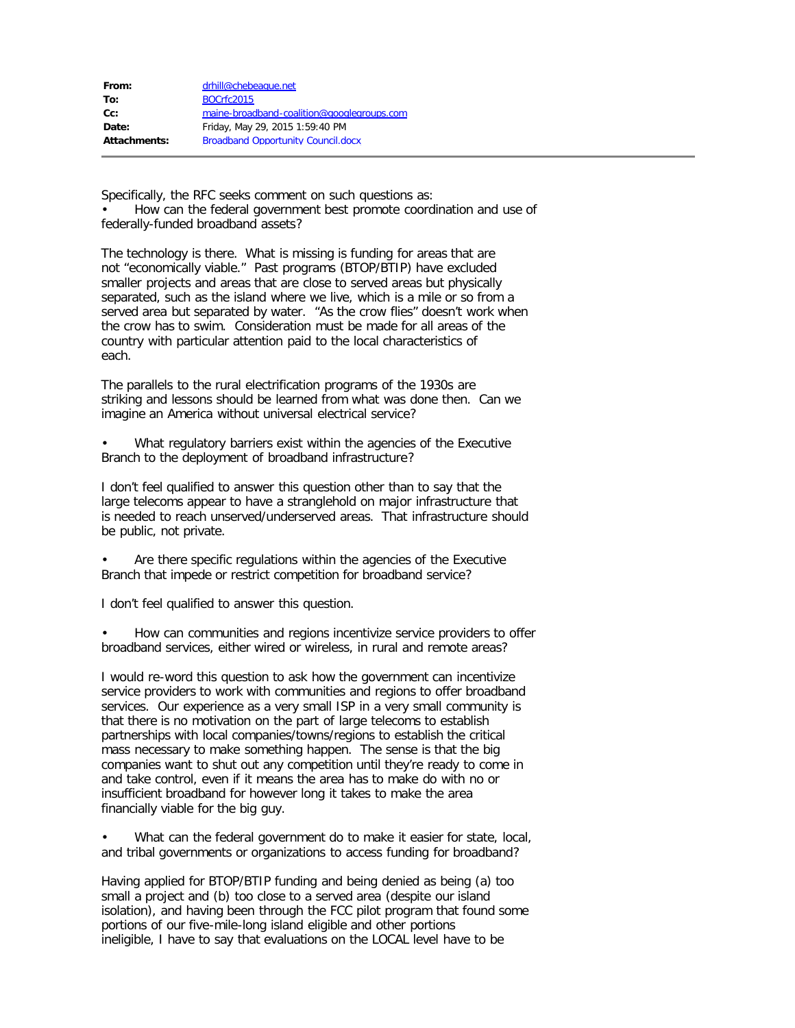| From:        | drhill@chebeague.net                       |
|--------------|--------------------------------------------|
| To:          | BOCrfc2015                                 |
| $Cc$ :       | maine-broadband-coalition@googlegroups.com |
| Date:        | Friday, May 29, 2015 1:59:40 PM            |
| Attachments: | <b>Broadband Opportunity Council.docx</b>  |

Specifically, the RFC seeks comment on such questions as: • How can the federal government best promote coordination and use of federally-funded broadband assets?

The technology is there. What is missing is funding for areas that are not "economically viable." Past programs (BTOP/BTIP) have excluded smaller projects and areas that are close to served areas but physically separated, such as the island where we live, which is a mile or so from a served area but separated by water. "As the crow flies" doesn't work when the crow has to swim. Consideration must be made for all areas of the country with particular attention paid to the local characteristics of each.

The parallels to the rural electrification programs of the 1930s are striking and lessons should be learned from what was done then. Can we imagine an America without universal electrical service?

What regulatory barriers exist within the agencies of the Executive Branch to the deployment of broadband infrastructure?

I don't feel qualified to answer this question other than to say that the large telecoms appear to have a stranglehold on major infrastructure that is needed to reach unserved/underserved areas. That infrastructure should be public, not private.

• Are there specific regulations within the agencies of the Executive Branch that impede or restrict competition for broadband service?

I don't feel qualified to answer this question.

• How can communities and regions incentivize service providers to offer broadband services, either wired or wireless, in rural and remote areas?

I would re-word this question to ask how the government can incentivize service providers to work with communities and regions to offer broadband services. Our experience as a very small ISP in a very small community is that there is no motivation on the part of large telecoms to establish partnerships with local companies/towns/regions to establish the critical mass necessary to make something happen. The sense is that the big companies want to shut out any competition until they're ready to come in and take control, even if it means the area has to make do with no or insufficient broadband for however long it takes to make the area financially viable for the big guy.

What can the federal government do to make it easier for state, local, and tribal governments or organizations to access funding for broadband?

Having applied for BTOP/BTIP funding and being denied as being (a) too small a project and (b) too close to a served area (despite our island isolation), and having been through the FCC pilot program that found some portions of our five-mile-long island eligible and other portions ineligible, I have to say that evaluations on the LOCAL level have to be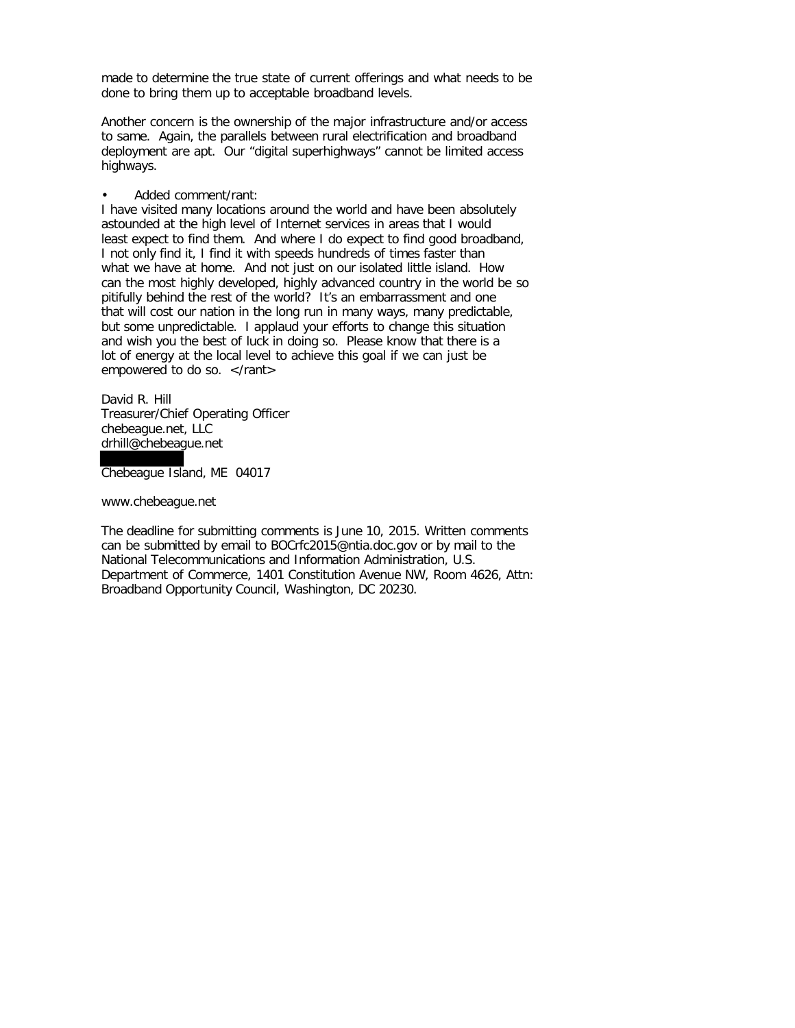made to determine the true state of current offerings and what needs to be done to bring them up to acceptable broadband levels.

Another concern is the ownership of the major infrastructure and/or access to same. Again, the parallels between rural electrification and broadband deployment are apt. Our "digital superhighways" cannot be limited access highways.

• Added comment/rant:

I have visited many locations around the world and have been absolutely astounded at the high level of Internet services in areas that I would least expect to find them. And where I do expect to find good broadband, I not only find it, I find it with speeds hundreds of times faster than what we have at home. And not just on our isolated little island. How can the most highly developed, highly advanced country in the world be so pitifully behind the rest of the world? It's an embarrassment and one that will cost our nation in the long run in many ways, many predictable, but some unpredictable. I applaud your efforts to change this situation and wish you the best of luck in doing so. Please know that there is a lot of energy at the local level to achieve this goal if we can just be empowered to do so. </rant>

David R. Hill Treasurer/Chief Operating Officer chebeague.net, LLC drhill@chebeague.net

Chebeague Island, ME 04017

www.chebeague.net

The deadline for submitting comments is June 10, 2015. Written comments can be submitted by email to BOCrfc2015@ntia.doc.gov or by mail to the National Telecommunications and Information Administration, U.S. Department of Commerce, 1401 Constitution Avenue NW, Room 4626, Attn: Broadband Opportunity Council, Washington, DC 20230.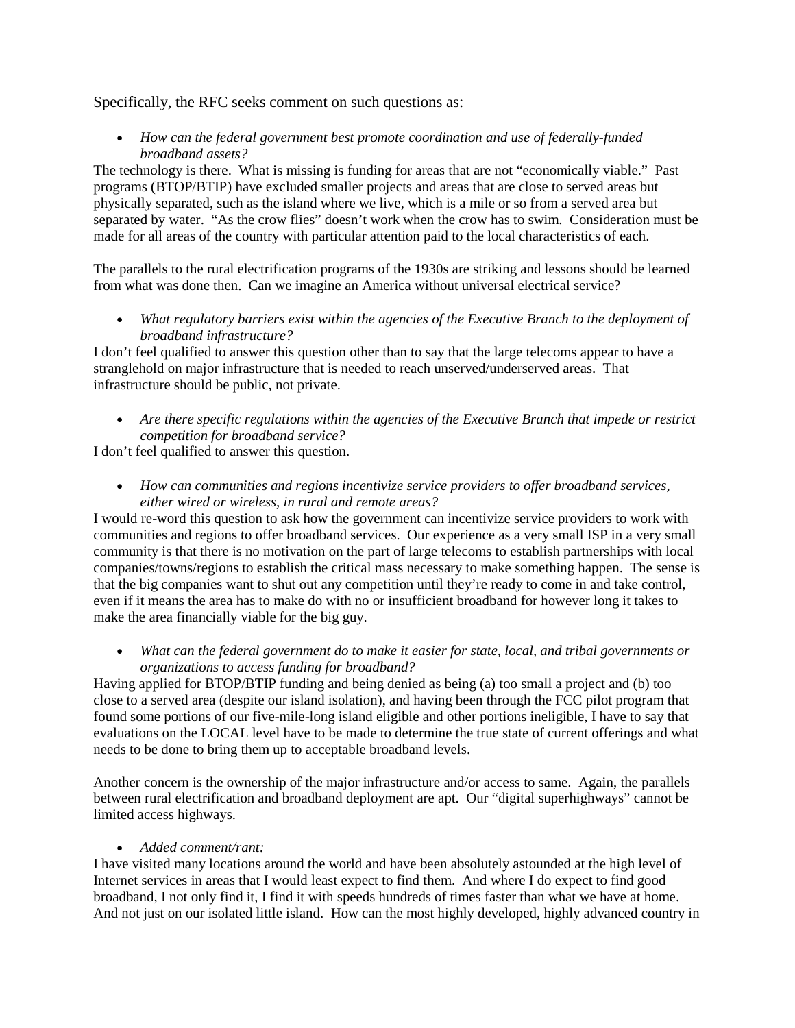## Specifically, the RFC seeks comment on such questions as:

• *How can the federal government best promote coordination and use of federally-funded broadband assets?*

The technology is there. What is missing is funding for areas that are not "economically viable." Past programs (BTOP/BTIP) have excluded smaller projects and areas that are close to served areas but physically separated, such as the island where we live, which is a mile or so from a served area but separated by water. "As the crow flies" doesn't work when the crow has to swim. Consideration must be made for all areas of the country with particular attention paid to the local characteristics of each.

The parallels to the rural electrification programs of the 1930s are striking and lessons should be learned from what was done then. Can we imagine an America without universal electrical service?

• *What regulatory barriers exist within the agencies of the Executive Branch to the deployment of broadband infrastructure?*

I don't feel qualified to answer this question other than to say that the large telecoms appear to have a stranglehold on major infrastructure that is needed to reach unserved/underserved areas. That infrastructure should be public, not private.

• *Are there specific regulations within the agencies of the Executive Branch that impede or restrict competition for broadband service?*

I don't feel qualified to answer this question.

• *How can communities and regions incentivize service providers to offer broadband services, either wired or wireless, in rural and remote areas?*

I would re-word this question to ask how the government can incentivize service providers to work with communities and regions to offer broadband services. Our experience as a very small ISP in a very small community is that there is no motivation on the part of large telecoms to establish partnerships with local companies/towns/regions to establish the critical mass necessary to make something happen. The sense is that the big companies want to shut out any competition until they're ready to come in and take control, even if it means the area has to make do with no or insufficient broadband for however long it takes to make the area financially viable for the big guy.

• *What can the federal government do to make it easier for state, local, and tribal governments or organizations to access funding for broadband?*

Having applied for BTOP/BTIP funding and being denied as being (a) too small a project and (b) too close to a served area (despite our island isolation), and having been through the FCC pilot program that found some portions of our five-mile-long island eligible and other portions ineligible, I have to say that evaluations on the LOCAL level have to be made to determine the true state of current offerings and what needs to be done to bring them up to acceptable broadband levels.

Another concern is the ownership of the major infrastructure and/or access to same. Again, the parallels between rural electrification and broadband deployment are apt. Our "digital superhighways" cannot be limited access highways.

## • *Added comment/rant:*

I have visited many locations around the world and have been absolutely astounded at the high level of Internet services in areas that I would least expect to find them. And where I do expect to find good broadband, I not only find it, I find it with speeds hundreds of times faster than what we have at home. And not just on our isolated little island. How can the most highly developed, highly advanced country in